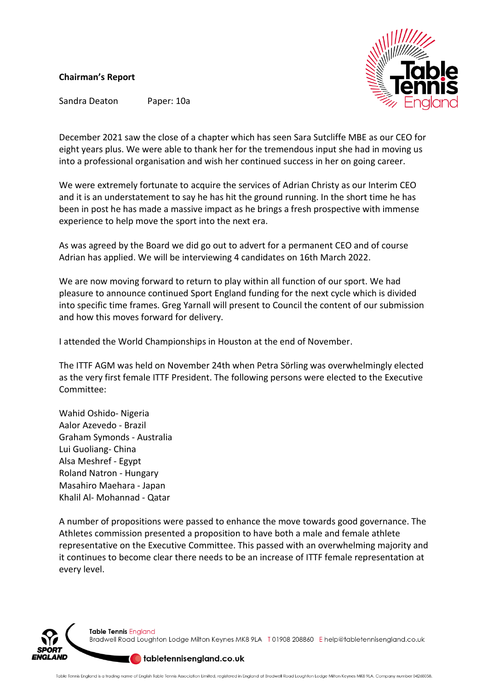## **Chairman's Report**



Sandra Deaton Paper: 10a

December 2021 saw the close of a chapter which has seen Sara Sutcliffe MBE as our CEO for eight years plus. We were able to thank her for the tremendous input she had in moving us into a professional organisation and wish her continued success in her on going career.

We were extremely fortunate to acquire the services of Adrian Christy as our Interim CEO and it is an understatement to say he has hit the ground running. In the short time he has been in post he has made a massive impact as he brings a fresh prospective with immense experience to help move the sport into the next era.

As was agreed by the Board we did go out to advert for a permanent CEO and of course Adrian has applied. We will be interviewing 4 candidates on 16th March 2022.

We are now moving forward to return to play within all function of our sport. We had pleasure to announce continued Sport England funding for the next cycle which is divided into specific time frames. Greg Yarnall will present to Council the content of our submission and how this moves forward for delivery.

I attended the World Championships in Houston at the end of November.

The ITTF AGM was held on November 24th when Petra Sörling was overwhelmingly elected as the very first female ITTF President. The following persons were elected to the Executive Committee:

Wahid Oshido- Nigeria Aalor Azevedo - Brazil Graham Symonds - Australia Lui Guoliang- China Alsa Meshref - Egypt Roland Natron - Hungary Masahiro Maehara - Japan Khalil Al- Mohannad - Qatar

A number of propositions were passed to enhance the move towards good governance. The Athletes commission presented a proposition to have both a male and female athlete representative on the Executive Committee. This passed with an overwhelming majority and it continues to become clear there needs to be an increase of ITTF female representation at every level.



Table Tennis England Bradwell Road Loughton Lodge Milton Keynes MK8 9LA T01908 208860 Ehelp@tabletennisengland.co.uk

## deterial table tennisengland.co.uk